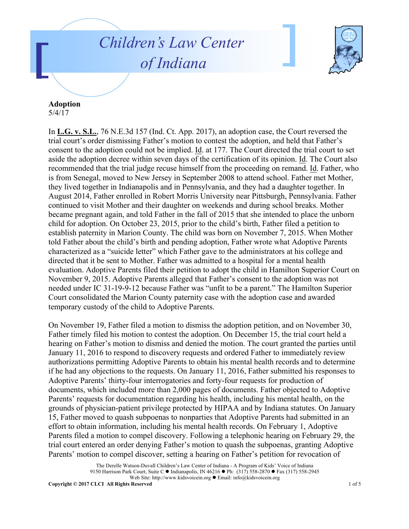## *Children's Law Center of Indiana*



## **Adoption**

5/4/17

In **L.G. v. S.L.**, 76 N.E.3d 157 (Ind. Ct. App. 2017), an adoption case, the Court reversed the trial court's order dismissing Father's motion to contest the adoption, and held that Father's consent to the adoption could not be implied. Id. at 177. The Court directed the trial court to set aside the adoption decree within seven days of the certification of its opinion. Id. The Court also recommended that the trial judge recuse himself from the proceeding on remand. Id. Father, who is from Senegal, moved to New Jersey in September 2008 to attend school. Father met Mother, they lived together in Indianapolis and in Pennsylvania, and they had a daughter together. In August 2014, Father enrolled in Robert Morris University near Pittsburgh, Pennsylvania. Father continued to visit Mother and their daughter on weekends and during school breaks. Mother became pregnant again, and told Father in the fall of 2015 that she intended to place the unborn child for adoption. On October 23, 2015, prior to the child's birth, Father filed a petition to establish paternity in Marion County. The child was born on November 7, 2015. When Mother told Father about the child's birth and pending adoption, Father wrote what Adoptive Parents characterized as a "suicide letter" which Father gave to the administrators at his college and directed that it be sent to Mother. Father was admitted to a hospital for a mental health evaluation. Adoptive Parents filed their petition to adopt the child in Hamilton Superior Court on November 9, 2015. Adoptive Parents alleged that Father's consent to the adoption was not needed under IC 31-19-9-12 because Father was "unfit to be a parent." The Hamilton Superior Court consolidated the Marion County paternity case with the adoption case and awarded temporary custody of the child to Adoptive Parents.

On November 19, Father filed a motion to dismiss the adoption petition, and on November 30, Father timely filed his motion to contest the adoption. On December 15, the trial court held a hearing on Father's motion to dismiss and denied the motion. The court granted the parties until January 11, 2016 to respond to discovery requests and ordered Father to immediately review authorizations permitting Adoptive Parents to obtain his mental health records and to determine if he had any objections to the requests. On January 11, 2016, Father submitted his responses to Adoptive Parents' thirty-four interrogatories and forty-four requests for production of documents, which included more than 2,000 pages of documents. Father objected to Adoptive Parents' requests for documentation regarding his health, including his mental health, on the grounds of physician-patient privilege protected by HIPAA and by Indiana statutes. On January 15, Father moved to quash subpoenas to nonparties that Adoptive Parents had submitted in an effort to obtain information, including his mental health records. On February 1, Adoptive Parents filed a motion to compel discovery. Following a telephonic hearing on February 29, the trial court entered an order denying Father's motion to quash the subpoenas, granting Adoptive Parents' motion to compel discover, setting a hearing on Father's petition for revocation of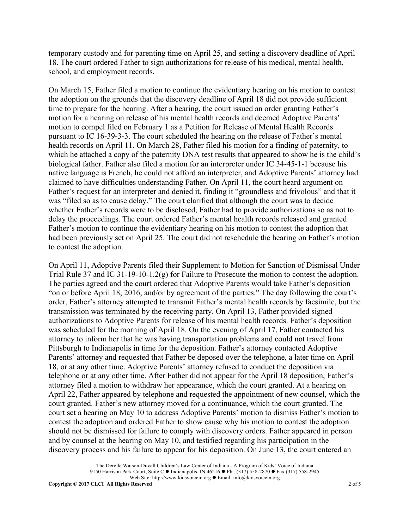temporary custody and for parenting time on April 25, and setting a discovery deadline of April 18. The court ordered Father to sign authorizations for release of his medical, mental health, school, and employment records.

On March 15, Father filed a motion to continue the evidentiary hearing on his motion to contest the adoption on the grounds that the discovery deadline of April 18 did not provide sufficient time to prepare for the hearing. After a hearing, the court issued an order granting Father's motion for a hearing on release of his mental health records and deemed Adoptive Parents' motion to compel filed on February 1 as a Petition for Release of Mental Health Records pursuant to IC 16-39-3-3. The court scheduled the hearing on the release of Father's mental health records on April 11. On March 28, Father filed his motion for a finding of paternity, to which he attached a copy of the paternity DNA test results that appeared to show he is the child's biological father. Father also filed a motion for an interpreter under IC 34-45-1-1 because his native language is French, he could not afford an interpreter, and Adoptive Parents' attorney had claimed to have difficulties understanding Father. On April 11, the court heard argument on Father's request for an interpreter and denied it, finding it "groundless and frivolous" and that it was "filed so as to cause delay." The court clarified that although the court was to decide whether Father's records were to be disclosed, Father had to provide authorizations so as not to delay the proceedings. The court ordered Father's mental health records released and granted Father's motion to continue the evidentiary hearing on his motion to contest the adoption that had been previously set on April 25. The court did not reschedule the hearing on Father's motion to contest the adoption.

On April 11, Adoptive Parents filed their Supplement to Motion for Sanction of Dismissal Under Trial Rule 37 and IC 31-19-10-1.2(g) for Failure to Prosecute the motion to contest the adoption. The parties agreed and the court ordered that Adoptive Parents would take Father's deposition "on or before April 18, 2016, and/or by agreement of the parties." The day following the court's order, Father's attorney attempted to transmit Father's mental health records by facsimile, but the transmission was terminated by the receiving party. On April 13, Father provided signed authorizations to Adoptive Parents for release of his mental health records. Father's deposition was scheduled for the morning of April 18. On the evening of April 17, Father contacted his attorney to inform her that he was having transportation problems and could not travel from Pittsburgh to Indianapolis in time for the deposition. Father's attorney contacted Adoptive Parents' attorney and requested that Father be deposed over the telephone, a later time on April 18, or at any other time. Adoptive Parents' attorney refused to conduct the deposition via telephone or at any other time. After Father did not appear for the April 18 deposition, Father's attorney filed a motion to withdraw her appearance, which the court granted. At a hearing on April 22, Father appeared by telephone and requested the appointment of new counsel, which the court granted. Father's new attorney moved for a continuance, which the court granted. The court set a hearing on May 10 to address Adoptive Parents' motion to dismiss Father's motion to contest the adoption and ordered Father to show cause why his motion to contest the adoption should not be dismissed for failure to comply with discovery orders. Father appeared in person and by counsel at the hearing on May 10, and testified regarding his participation in the discovery process and his failure to appear for his deposition. On June 13, the court entered an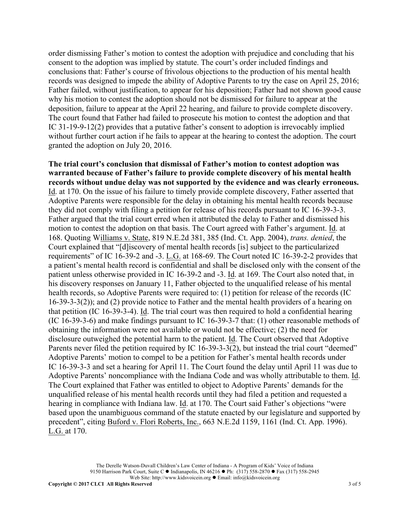order dismissing Father's motion to contest the adoption with prejudice and concluding that his consent to the adoption was implied by statute. The court's order included findings and conclusions that: Father's course of frivolous objections to the production of his mental health records was designed to impede the ability of Adoptive Parents to try the case on April 25, 2016; Father failed, without justification, to appear for his deposition; Father had not shown good cause why his motion to contest the adoption should not be dismissed for failure to appear at the deposition, failure to appear at the April 22 hearing, and failure to provide complete discovery. The court found that Father had failed to prosecute his motion to contest the adoption and that IC 31-19-9-12(2) provides that a putative father's consent to adoption is irrevocably implied without further court action if he fails to appear at the hearing to contest the adoption. The court granted the adoption on July 20, 2016.

**The trial court's conclusion that dismissal of Father's motion to contest adoption was warranted because of Father's failure to provide complete discovery of his mental health records without undue delay was not supported by the evidence and was clearly erroneous.**  Id. at 170. On the issue of his failure to timely provide complete discovery, Father asserted that Adoptive Parents were responsible for the delay in obtaining his mental health records because they did not comply with filing a petition for release of his records pursuant to IC 16-39-3-3. Father argued that the trial court erred when it attributed the delay to Father and dismissed his motion to contest the adoption on that basis. The Court agreed with Father's argument. Id. at 168. Quoting Williams v. State, 819 N.E.2d 381, 385 (Ind. Ct. App. 2004), *trans. denied*, the Court explained that "[d]iscovery of mental health records [is] subject to the particularized requirements" of IC 16-39-2 and -3. L.G. at 168-69. The Court noted IC 16-39-2-2 provides that a patient's mental health record is confidential and shall be disclosed only with the consent of the patient unless otherwise provided in IC 16-39-2 and -3. Id. at 169. The Court also noted that, in his discovery responses on January 11, Father objected to the unqualified release of his mental health records, so Adoptive Parents were required to: (1) petition for release of the records (IC 16-39-3-3(2)); and (2) provide notice to Father and the mental health providers of a hearing on that petition (IC 16-39-3-4). Id. The trial court was then required to hold a confidential hearing (IC 16-39-3-6) and make findings pursuant to IC 16-39-3-7 that: (1) other reasonable methods of obtaining the information were not available or would not be effective; (2) the need for disclosure outweighed the potential harm to the patient. Id. The Court observed that Adoptive Parents never filed the petition required by IC 16-39-3-3(2), but instead the trial court "deemed" Adoptive Parents' motion to compel to be a petition for Father's mental health records under IC 16-39-3-3 and set a hearing for April 11. The Court found the delay until April 11 was due to Adoptive Parents' noncompliance with the Indiana Code and was wholly attributable to them. Id. The Court explained that Father was entitled to object to Adoptive Parents' demands for the unqualified release of his mental health records until they had filed a petition and requested a hearing in compliance with Indiana law. Id. at 170. The Court said Father's objections "were based upon the unambiguous command of the statute enacted by our legislature and supported by precedent", citing Buford v. Flori Roberts, Inc., 663 N.E.2d 1159, 1161 (Ind. Ct. App. 1996). L.G. at 170.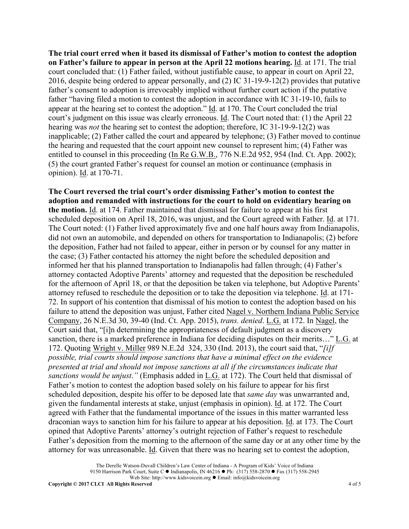**The trial court erred when it based its dismissal of Father's motion to contest the adoption on Father's failure to appear in person at the April 22 motions hearing.** Id. at 171. The trial court concluded that: (1) Father failed, without justifiable cause, to appear in court on April 22, 2016, despite being ordered to appear personally, and (2) IC 31-19-9-12(2) provides that putative father's consent to adoption is irrevocably implied without further court action if the putative father "having filed a motion to contest the adoption in accordance with IC 31-19-10, fails to appear at the hearing set to contest the adoption." Id. at 170. The Court concluded the trial court's judgment on this issue was clearly erroneous. Id. The Court noted that: (1) the April 22 hearing was *not* the hearing set to contest the adoption; therefore, IC 31-19-9-12(2) was inapplicable; (2) Father called the court and appeared by telephone; (3) Father moved to continue the hearing and requested that the court appoint new counsel to represent him; (4) Father was entitled to counsel in this proceeding (In Re G.W.B., 776 N.E.2d 952, 954 (Ind. Ct. App. 2002); (5) the court granted Father's request for counsel an motion or continuance (emphasis in opinion). Id. at 170-71.

**The Court reversed the trial court's order dismissing Father's motion to contest the adoption and remanded with instructions for the court to hold on evidentiary hearing on the motion.** Id. at 174. Father maintained that dismissal for failure to appear at his first scheduled deposition on April 18, 2016, was unjust, and the Court agreed with Father. Id. at 171. The Court noted: (1) Father lived approximately five and one half hours away from Indianapolis, did not own an automobile, and depended on others for transportation to Indianapolis; (2) before the deposition, Father had not failed to appear, either in person or by counsel for any matter in the case; (3) Father contacted his attorney the night before the scheduled deposition and informed her that his planned transportation to Indianapolis had fallen through; (4) Father's attorney contacted Adoptive Parents' attorney and requested that the deposition be rescheduled for the afternoon of April 18, or that the deposition be taken via telephone, but Adoptive Parents' attorney refused to reschedule the deposition or to take the deposition via telephone. Id. at 171- 72. In support of his contention that dismissal of his motion to contest the adoption based on his failure to attend the deposition was unjust, Father cited Nagel v. Northern Indiana Public Service Company, 26 N.E.3d 30, 39-40 (Ind. Ct. App. 2015), *trans. denied*. L.G. at 172. In Nagel, the Court said that, "[i]n determining the appropriateness of default judgment as a discovery sanction, there is a marked preference in Indiana for deciding disputes on their merits…" L.G. at 172. Quoting Wright v. Miller 989 N.E.2d 324, 330 (Ind. 2013), the court said that, "*[i]f possible, trial courts should impose sanctions that have a minimal effect on the evidence presented at trial and should not impose sanctions at all if the circumstances indicate that sanctions would be unjust*.*"* (Emphasis added in L.G. at 172). The Court held that dismissal of Father's motion to contest the adoption based solely on his failure to appear for his first scheduled deposition, despite his offer to be deposed late that *same day* was unwarranted and, given the fundamental interests at stake, unjust (emphasis in opinion). Id. at 172. The Court agreed with Father that the fundamental importance of the issues in this matter warranted less draconian ways to sanction him for his failure to appear at his deposition. Id. at 173. The Court opined that Adoptive Parents' attorney's outright rejection of Father's request to reschedule Father's deposition from the morning to the afternoon of the same day or at any other time by the attorney for was unreasonable. Id. Given that there was no hearing set to contest the adoption,